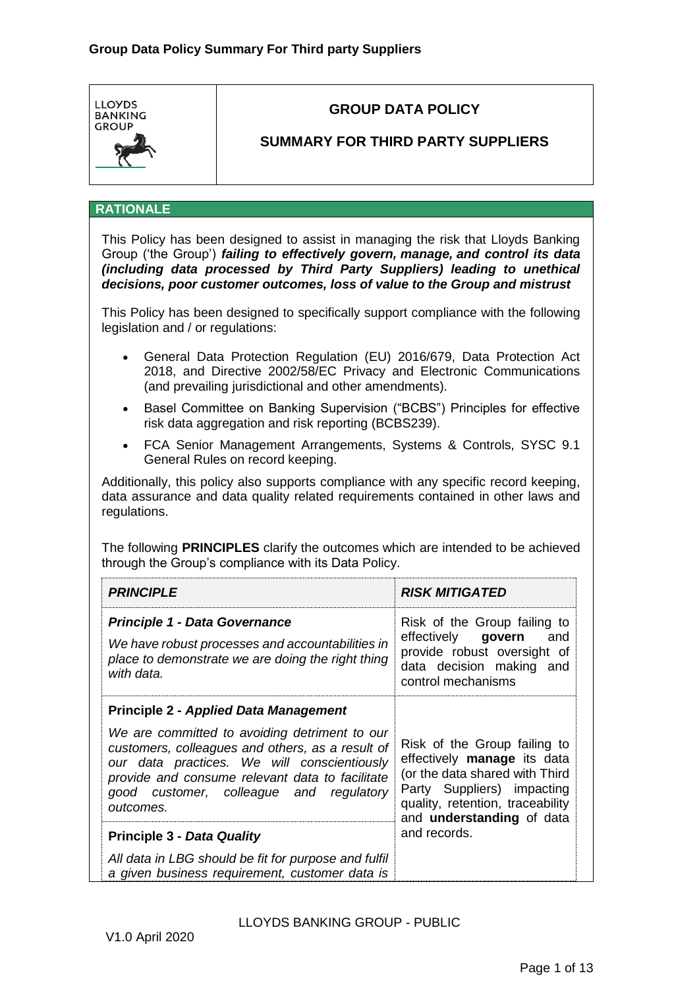

# **GROUP DATA POLICY**

## **SUMMARY FOR THIRD PARTY SUPPLIERS**

#### **RATIONALE**

This Policy has been designed to assist in managing the risk that Lloyds Banking Group ('the Group') *failing to effectively govern, manage, and control its data (including data processed by Third Party Suppliers) leading to unethical decisions, poor customer outcomes, loss of value to the Group and mistrust*

This Policy has been designed to specifically support compliance with the following legislation and / or regulations:

- General Data Protection Regulation (EU) 2016/679, Data Protection Act 2018, and Directive 2002/58/EC Privacy and Electronic Communications (and prevailing jurisdictional and other amendments).
- Basel Committee on Banking Supervision ("BCBS") Principles for effective risk data aggregation and risk reporting (BCBS239).
- FCA Senior Management Arrangements, Systems & Controls, SYSC 9.1 General Rules on record keeping.

Additionally, this policy also supports compliance with any specific record keeping, data assurance and data quality related requirements contained in other laws and regulations.

The following **PRINCIPLES** clarify the outcomes which are intended to be achieved through the Group's compliance with its Data Policy.

| <b>PRINCIPLE</b>                                                                                                                                                                                                                                                                                            | <b>RISK MITIGATED</b>                                                                                                                                                                        |
|-------------------------------------------------------------------------------------------------------------------------------------------------------------------------------------------------------------------------------------------------------------------------------------------------------------|----------------------------------------------------------------------------------------------------------------------------------------------------------------------------------------------|
| <b>Principle 1 - Data Governance</b><br>We have robust processes and accountabilities in<br>place to demonstrate we are doing the right thing<br>with data.                                                                                                                                                 | Risk of the Group failing to<br>effectively govern<br>and<br>provide robust oversight of<br>data decision making and<br>control mechanisms                                                   |
| <b>Principle 2 - Applied Data Management</b><br>We are committed to avoiding detriment to our<br>customers, colleagues and others, as a result of<br>our data practices. We will conscientiously<br>provide and consume relevant data to facilitate<br>good customer, colleague and regulatory<br>outcomes. | Risk of the Group failing to<br>effectively manage its data<br>(or the data shared with Third<br>Party Suppliers) impacting<br>quality, retention, traceability<br>and understanding of data |
| <b>Principle 3 - Data Quality</b>                                                                                                                                                                                                                                                                           | and records.                                                                                                                                                                                 |
| All data in LBG should be fit for purpose and fulfil<br>a given business requirement, customer data is                                                                                                                                                                                                      |                                                                                                                                                                                              |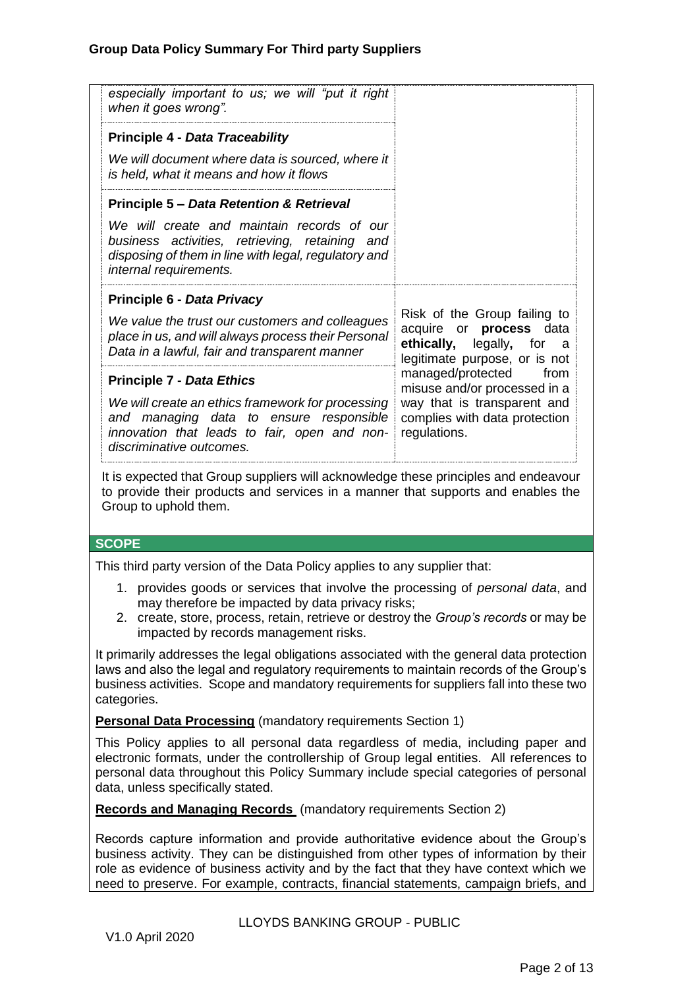| especially important to us; we will "put it right<br>when it goes wrong".                                                                                                                                                                                                                                |                                                                                                                                           |
|----------------------------------------------------------------------------------------------------------------------------------------------------------------------------------------------------------------------------------------------------------------------------------------------------------|-------------------------------------------------------------------------------------------------------------------------------------------|
| <b>Principle 4 - Data Traceability</b>                                                                                                                                                                                                                                                                   |                                                                                                                                           |
| We will document where data is sourced, where it<br>is held, what it means and how it flows                                                                                                                                                                                                              |                                                                                                                                           |
| <b>Principle 5 - Data Retention &amp; Retrieval</b>                                                                                                                                                                                                                                                      |                                                                                                                                           |
| We will create and maintain records of our<br>business activities, retrieving, retaining and<br>disposing of them in line with legal, regulatory and<br>internal requirements.                                                                                                                           |                                                                                                                                           |
| Principle 6 - Data Privacy                                                                                                                                                                                                                                                                               |                                                                                                                                           |
| We value the trust our customers and colleagues<br>place in us, and will always process their Personal<br>Data in a lawful, fair and transparent manner                                                                                                                                                  | Risk of the Group failing to<br>or process<br>acquire<br>data<br>ethically, legally,<br>for<br>a<br>legitimate purpose, or is not         |
| <b>Principle 7 - Data Ethics</b><br>We will create an ethics framework for processing<br>and managing data to ensure responsible<br>innovation that leads to fair, open and non-<br>discriminative outcomes.                                                                                             | managed/protected<br>from<br>misuse and/or processed in a<br>way that is transparent and<br>complies with data protection<br>regulations. |
| It is expected that Group suppliers will acknowledge these principles and endeavour<br>to provide their products and services in a manner that supports and enables the<br>Group to uphold them.                                                                                                         |                                                                                                                                           |
| <b>SCOPE</b>                                                                                                                                                                                                                                                                                             |                                                                                                                                           |
| This third party version of the Data Policy applies to any supplier that:                                                                                                                                                                                                                                |                                                                                                                                           |
| 1. provides goods or services that involve the processing of personal data, and<br>may therefore be impacted by data privacy risks;<br>2. create, store, process, retain, retrieve or destroy the Group's records or may be<br>impacted by records management risks.                                     |                                                                                                                                           |
| It primarily addresses the legal obligations associated with the general data protection<br>laws and also the legal and regulatory requirements to maintain records of the Group's<br>business activities. Scope and mandatory requirements for suppliers fall into these two<br>categories.             |                                                                                                                                           |
| <b>Personal Data Processing</b> (mandatory requirements Section 1)                                                                                                                                                                                                                                       |                                                                                                                                           |
| This Policy applies to all personal data regardless of media, including paper and<br>electronic formats, under the controllership of Group legal entities. All references to<br>personal data throughout this Policy Summary include special categories of personal<br>data, unless specifically stated. |                                                                                                                                           |

**Records and Managing Records** (mandatory requirements Section 2)

Records capture information and provide authoritative evidence about the Group's business activity. They can be distinguished from other types of information by their role as evidence of business activity and by the fact that they have context which we need to preserve. For example, contracts, financial statements, campaign briefs, and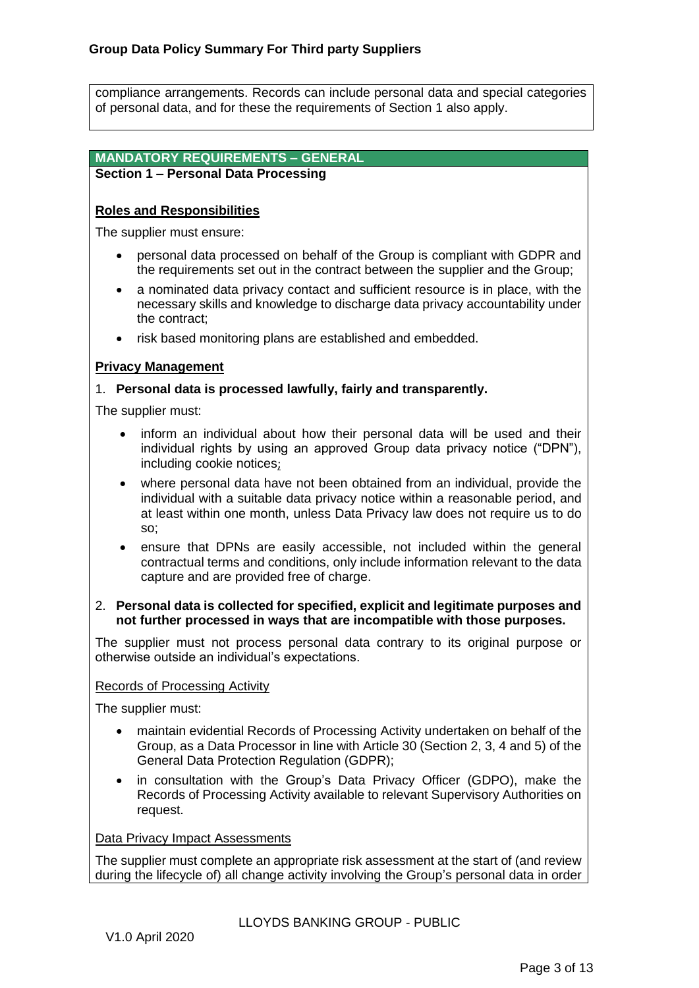compliance arrangements. Records can include personal data and special categories of personal data, and for these the requirements of Section 1 also apply.

## **MANDATORY REQUIREMENTS – GENERAL**

## **Section 1 – Personal Data Processing**

## **Roles and Responsibilities**

The supplier must ensure:

- personal data processed on behalf of the Group is compliant with GDPR and the requirements set out in the contract between the supplier and the Group;
- a nominated data privacy contact and sufficient resource is in place, with the necessary skills and knowledge to discharge data privacy accountability under the contract;
- risk based monitoring plans are established and embedded.

#### **Privacy Management**

## 1. **Personal data is processed lawfully, fairly and transparently.**

The supplier must:

- inform an individual about how their personal data will be used and their individual rights by using an approved Group data privacy notice ("DPN"), including cookie notices;
- where personal data have not been obtained from an individual, provide the individual with a suitable data privacy notice within a reasonable period, and at least within one month, unless Data Privacy law does not require us to do so;
- ensure that DPNs are easily accessible, not included within the general contractual terms and conditions, only include information relevant to the data capture and are provided free of charge.

#### 2. **Personal data is collected for specified, explicit and legitimate purposes and not further processed in ways that are incompatible with those purposes.**

The supplier must not process personal data contrary to its original purpose or otherwise outside an individual's expectations.

#### Records of Processing Activity

The supplier must:

- maintain evidential Records of Processing Activity undertaken on behalf of the Group, as a Data Processor in line with Article 30 (Section 2, 3, 4 and 5) of the General Data Protection Regulation (GDPR);
- in consultation with the Group's Data Privacy Officer (GDPO), make the Records of Processing Activity available to relevant Supervisory Authorities on request.

#### Data Privacy Impact Assessments

The supplier must complete an appropriate risk assessment at the start of (and review during the lifecycle of) all change activity involving the Group's personal data in order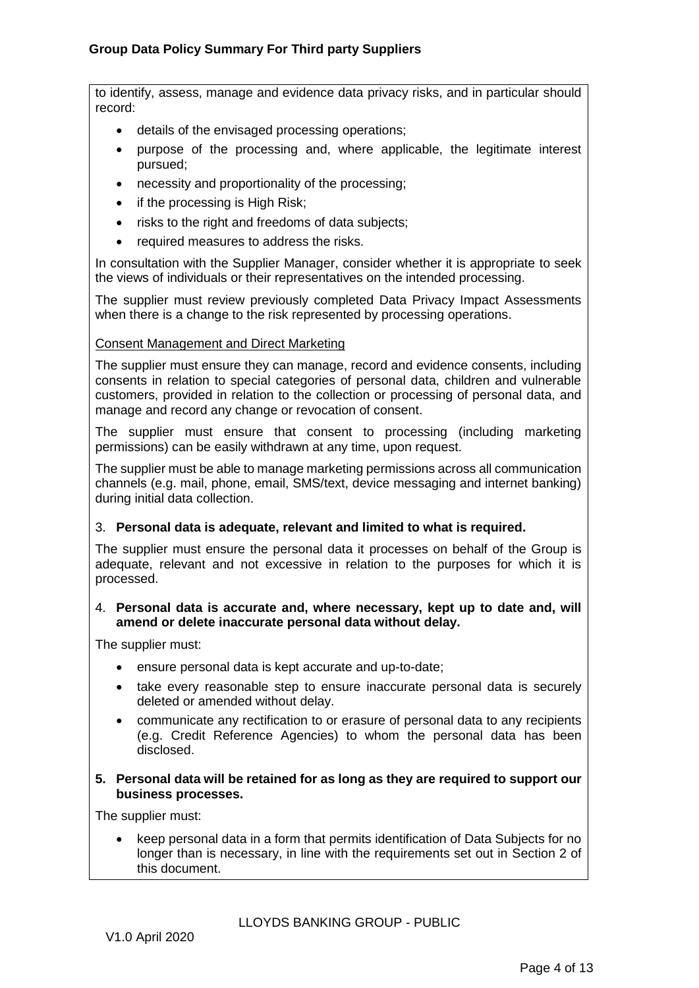to identify, assess, manage and evidence data privacy risks, and in particular should record:

- details of the envisaged processing operations;
- purpose of the processing and, where applicable, the legitimate interest pursued;
- necessity and proportionality of the processing;
- if the processing is High Risk;
- risks to the right and freedoms of data subjects;
- required measures to address the risks.

In consultation with the Supplier Manager, consider whether it is appropriate to seek the views of individuals or their representatives on the intended processing.

The supplier must review previously completed Data Privacy Impact Assessments when there is a change to the risk represented by processing operations.

#### Consent Management and Direct Marketing

The supplier must ensure they can manage, record and evidence consents, including consents in relation to special categories of personal data, children and vulnerable customers, provided in relation to the collection or processing of personal data, and manage and record any change or revocation of consent.

The supplier must ensure that consent to processing (including marketing permissions) can be easily withdrawn at any time, upon request.

The supplier must be able to manage marketing permissions across all communication channels (e.g. mail, phone, email, SMS/text, device messaging and internet banking) during initial data collection.

#### 3. **Personal data is adequate, relevant and limited to what is required.**

The supplier must ensure the personal data it processes on behalf of the Group is adequate, relevant and not excessive in relation to the purposes for which it is processed.

#### 4. **Personal data is accurate and, where necessary, kept up to date and, will amend or delete inaccurate personal data without delay.**

The supplier must:

- ensure personal data is kept accurate and up-to-date;
- take every reasonable step to ensure inaccurate personal data is securely deleted or amended without delay.
- communicate any rectification to or erasure of personal data to any recipients (e.g. Credit Reference Agencies) to whom the personal data has been disclosed.

#### **5. Personal data will be retained for as long as they are required to support our business processes.**

The supplier must:

• keep personal data in a form that permits identification of Data Subjects for no longer than is necessary, in line with the requirements set out in Section 2 of this document.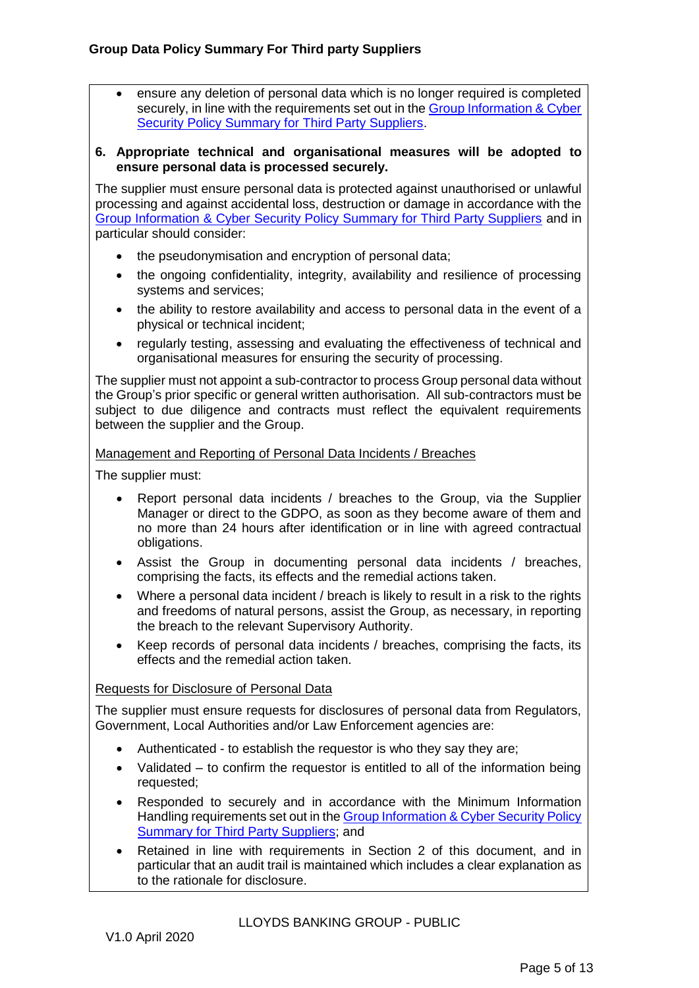ensure any deletion of personal data which is no longer required is completed securely, in line with the requirements set out in the [Group Information & Cyber](http://www.lloydsbankinggroup.com/our-group/working-with-suppliers/policy-compliance/third-party-policies/)  [Security Policy Summary for Third Party Suppliers.](http://www.lloydsbankinggroup.com/our-group/working-with-suppliers/policy-compliance/third-party-policies/)

#### **6. Appropriate technical and organisational measures will be adopted to ensure personal data is processed securely.**

The supplier must ensure personal data is protected against unauthorised or unlawful processing and against accidental loss, destruction or damage in accordance with the [Group Information & Cyber Security Policy Summary for Third Party Suppliers](http://www.lloydsbankinggroup.com/our-group/working-with-suppliers/policy-compliance/third-party-policies/) and in particular should consider:

- the pseudonymisation and encryption of personal data;
- the ongoing confidentiality, integrity, availability and resilience of processing systems and services;
- the ability to restore availability and access to personal data in the event of a physical or technical incident;
- regularly testing, assessing and evaluating the effectiveness of technical and organisational measures for ensuring the security of processing.

The supplier must not appoint a sub-contractor to process Group personal data without the Group's prior specific or general written authorisation. All sub-contractors must be subject to due diligence and contracts must reflect the equivalent requirements between the supplier and the Group.

#### Management and Reporting of Personal Data Incidents / Breaches

The supplier must:

- Report personal data incidents / breaches to the Group, via the Supplier Manager or direct to the GDPO, as soon as they become aware of them and no more than 24 hours after identification or in line with agreed contractual obligations.
- Assist the Group in documenting personal data incidents / breaches, comprising the facts, its effects and the remedial actions taken.
- Where a personal data incident / breach is likely to result in a risk to the rights and freedoms of natural persons, assist the Group, as necessary, in reporting the breach to the relevant Supervisory Authority.
- Keep records of personal data incidents / breaches, comprising the facts, its effects and the remedial action taken.

#### Requests for Disclosure of Personal Data

The supplier must ensure requests for disclosures of personal data from Regulators, Government, Local Authorities and/or Law Enforcement agencies are:

- Authenticated to establish the requestor is who they say they are;
- Validated to confirm the requestor is entitled to all of the information being requested;
- Responded to securely and in accordance with the Minimum Information Handling requirements set out in th[e Group Information & Cyber Security Policy](http://www.lloydsbankinggroup.com/our-group/working-with-suppliers/policy-compliance/third-party-policies/)  [Summary for Third Party Suppliers;](http://www.lloydsbankinggroup.com/our-group/working-with-suppliers/policy-compliance/third-party-policies/) and
- Retained in line with requirements in Section 2 of this document, and in particular that an audit trail is maintained which includes a clear explanation as to the rationale for disclosure.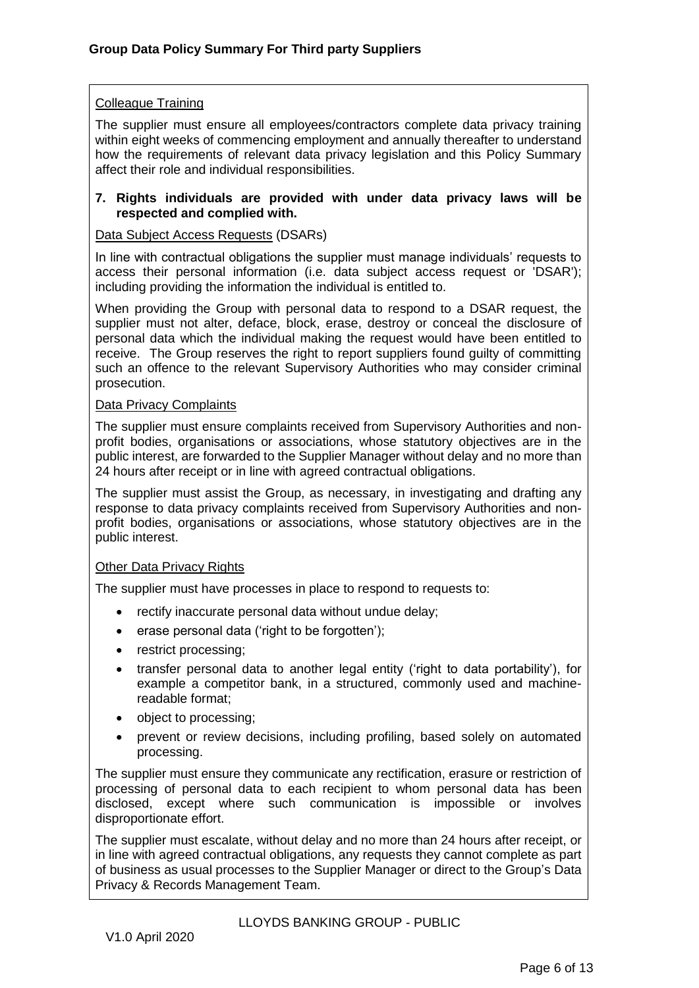#### Colleague Training

The supplier must ensure all employees/contractors complete data privacy training within eight weeks of commencing employment and annually thereafter to understand how the requirements of relevant data privacy legislation and this Policy Summary affect their role and individual responsibilities.

#### **7. Rights individuals are provided with under data privacy laws will be respected and complied with.**

#### Data Subject Access Requests (DSARs)

In line with contractual obligations the supplier must manage individuals' requests to access their personal information (i.e. data subject access request or 'DSAR'); including providing the information the individual is entitled to.

When providing the Group with personal data to respond to a DSAR request, the supplier must not alter, deface, block, erase, destroy or conceal the disclosure of personal data which the individual making the request would have been entitled to receive. The Group reserves the right to report suppliers found guilty of committing such an offence to the relevant Supervisory Authorities who may consider criminal prosecution.

#### Data Privacy Complaints

The supplier must ensure complaints received from Supervisory Authorities and nonprofit bodies, organisations or associations, whose statutory objectives are in the public interest, are forwarded to the Supplier Manager without delay and no more than 24 hours after receipt or in line with agreed contractual obligations.

The supplier must assist the Group, as necessary, in investigating and drafting any response to data privacy complaints received from Supervisory Authorities and nonprofit bodies, organisations or associations, whose statutory objectives are in the public interest.

#### Other Data Privacy Rights

The supplier must have processes in place to respond to requests to:

- rectify inaccurate personal data without undue delay;
- erase personal data ('right to be forgotten');
- restrict processing;
- transfer personal data to another legal entity ('right to data portability'), for example a competitor bank, in a structured, commonly used and machinereadable format;
- object to processing;
- prevent or review decisions, including profiling, based solely on automated processing.

The supplier must ensure they communicate any rectification, erasure or restriction of processing of personal data to each recipient to whom personal data has been disclosed, except where such communication is impossible or involves disproportionate effort.

The supplier must escalate, without delay and no more than 24 hours after receipt, or in line with agreed contractual obligations, any requests they cannot complete as part of business as usual processes to the Supplier Manager or direct to the Group's Data Privacy & Records Management Team.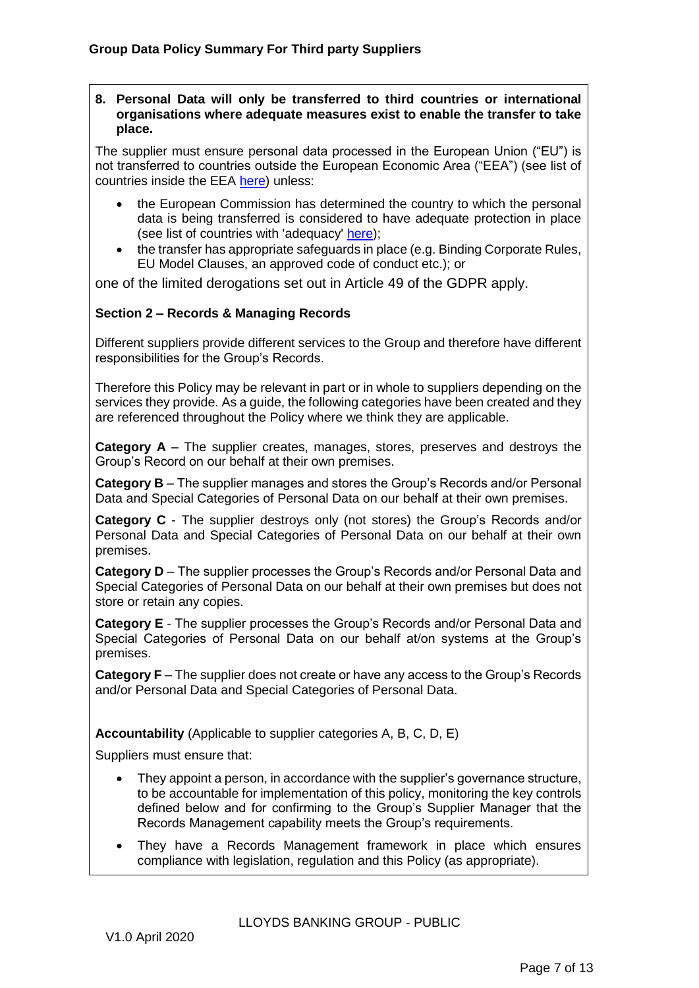#### **8. Personal Data will only be transferred to third countries or international organisations where adequate measures exist to enable the transfer to take place.**

The supplier must ensure personal data processed in the European Union ("EU") is not transferred to countries outside the European Economic Area ("EEA") (see list of countries inside the EEA [here\)](https://www.gov.uk/eu-eea) unless:

- the European Commission has determined the country to which the personal data is being transferred is considered to have adequate protection in place (see list of countries with 'adequacy' [here\)](http://ec.europa.eu/justice/data-protection/international-transfers/adequacy/index_en.htm);
- the transfer has appropriate safeguards in place (e.g. Binding Corporate Rules, EU Model Clauses, an approved code of conduct etc.); or

one of the limited derogations set out in Article 49 of the GDPR apply.

## **Section 2 – Records & Managing Records**

Different suppliers provide different services to the Group and therefore have different responsibilities for the Group's Records.

Therefore this Policy may be relevant in part or in whole to suppliers depending on the services they provide. As a guide, the following categories have been created and they are referenced throughout the Policy where we think they are applicable.

**Category A** – The supplier creates, manages, stores, preserves and destroys the Group's Record on our behalf at their own premises.

**Category B** – The supplier manages and stores the Group's Records and/or Personal Data and Special Categories of Personal Data on our behalf at their own premises.

**Category C** - The supplier destroys only (not stores) the Group's Records and/or Personal Data and Special Categories of Personal Data on our behalf at their own premises.

**Category D** – The supplier processes the Group's Records and/or Personal Data and Special Categories of Personal Data on our behalf at their own premises but does not store or retain any copies.

**Category E** - The supplier processes the Group's Records and/or Personal Data and Special Categories of Personal Data on our behalf at/on systems at the Group's premises.

**Category F** – The supplier does not create or have any access to the Group's Records and/or Personal Data and Special Categories of Personal Data.

**Accountability** (Applicable to supplier categories A, B, C, D, E)

Suppliers must ensure that:

- They appoint a person, in accordance with the supplier's governance structure, to be accountable for implementation of this policy, monitoring the key controls defined below and for confirming to the Group's Supplier Manager that the Records Management capability meets the Group's requirements.
- They have a Records Management framework in place which ensures compliance with legislation, regulation and this Policy (as appropriate).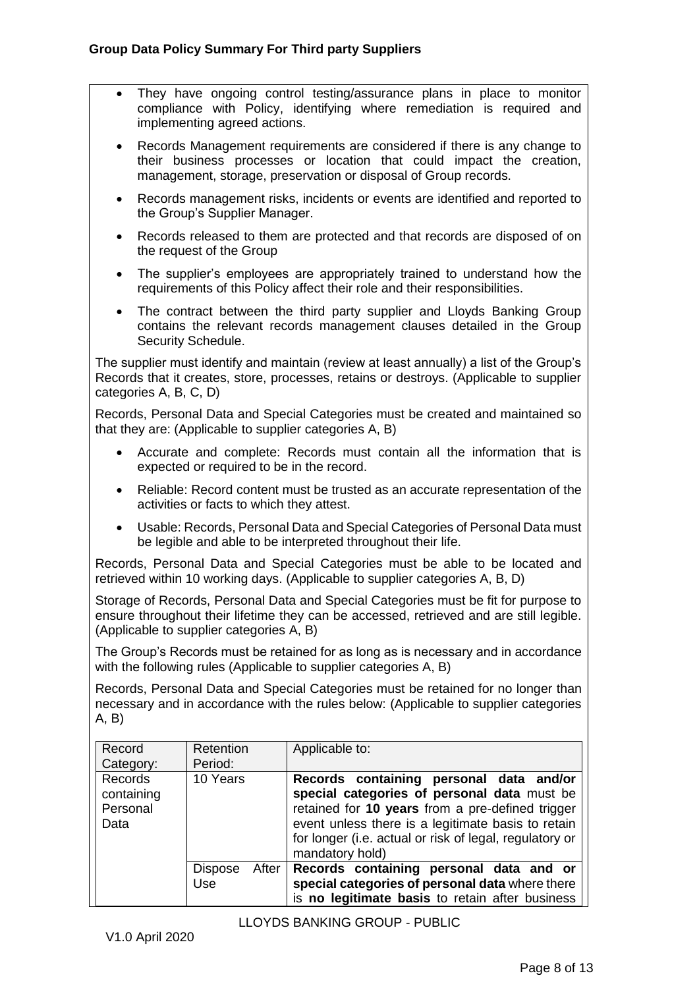- They have ongoing control testing/assurance plans in place to monitor compliance with Policy, identifying where remediation is required and implementing agreed actions.
- Records Management requirements are considered if there is any change to their business processes or location that could impact the creation, management, storage, preservation or disposal of Group records.
- Records management risks, incidents or events are identified and reported to the Group's Supplier Manager.
- Records released to them are protected and that records are disposed of on the request of the Group
- The supplier's employees are appropriately trained to understand how the requirements of this Policy affect their role and their responsibilities.
- The contract between the third party supplier and Lloyds Banking Group contains the relevant records management clauses detailed in the Group Security Schedule.

The supplier must identify and maintain (review at least annually) a list of the Group's Records that it creates, store, processes, retains or destroys. (Applicable to supplier categories A, B, C, D)

Records, Personal Data and Special Categories must be created and maintained so that they are: (Applicable to supplier categories A, B)

- Accurate and complete: Records must contain all the information that is expected or required to be in the record.
- Reliable: Record content must be trusted as an accurate representation of the activities or facts to which they attest.
- Usable: Records, Personal Data and Special Categories of Personal Data must be legible and able to be interpreted throughout their life.

Records, Personal Data and Special Categories must be able to be located and retrieved within 10 working days. (Applicable to supplier categories A, B, D)

Storage of Records, Personal Data and Special Categories must be fit for purpose to ensure throughout their lifetime they can be accessed, retrieved and are still legible. (Applicable to supplier categories A, B)

The Group's Records must be retained for as long as is necessary and in accordance with the following rules (Applicable to supplier categories A, B)

Records, Personal Data and Special Categories must be retained for no longer than necessary and in accordance with the rules below: (Applicable to supplier categories A, B)

| Record<br>Category:                       | Retention<br>Period:           | Applicable to:                                                                                                                                                                                                                                                                 |
|-------------------------------------------|--------------------------------|--------------------------------------------------------------------------------------------------------------------------------------------------------------------------------------------------------------------------------------------------------------------------------|
| Records<br>containing<br>Personal<br>Data | 10 Years                       | Records containing personal data and/or<br>special categories of personal data must be<br>retained for 10 years from a pre-defined trigger<br>event unless there is a legitimate basis to retain<br>for longer (i.e. actual or risk of legal, regulatory or<br>mandatory hold) |
|                                           | <b>Dispose</b><br>After<br>Use | Records containing personal data and or<br>special categories of personal data where there<br>is no legitimate basis to retain after business                                                                                                                                  |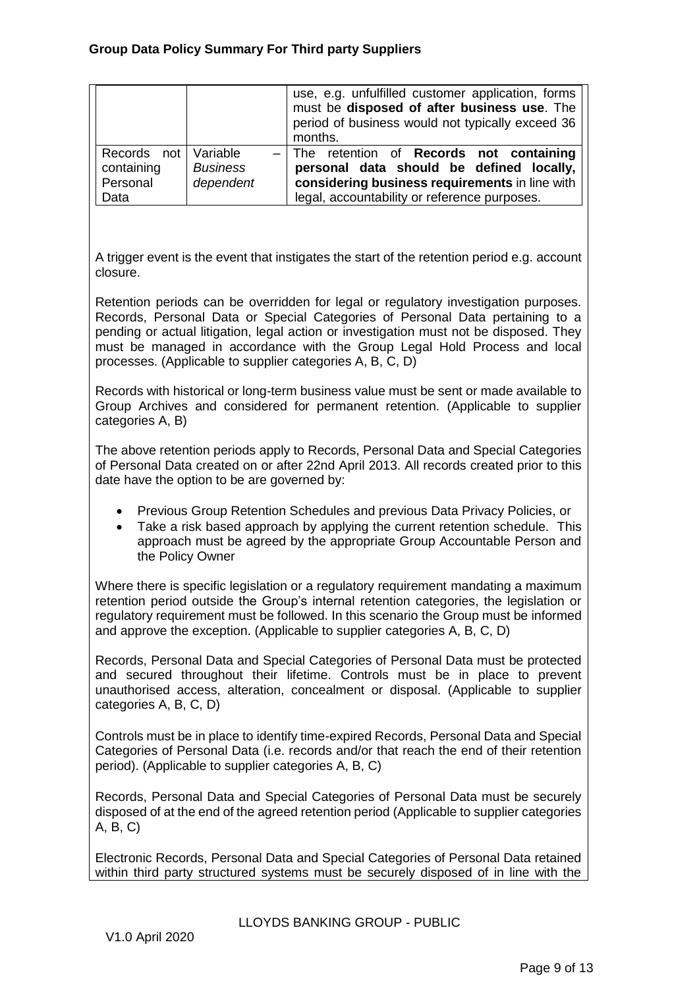|                                      |                 | use, e.g. unfulfilled customer application, forms<br>must be disposed of after business use. The<br>period of business would not typically exceed 36<br>months. |
|--------------------------------------|-----------------|-----------------------------------------------------------------------------------------------------------------------------------------------------------------|
| Records not   Variable<br>containing | <b>Business</b> | The retention of Records not containing<br>personal data should be defined locally,                                                                             |
| Personal<br>Data                     | dependent       | considering business requirements in line with<br>legal, accountability or reference purposes.                                                                  |

A trigger event is the event that instigates the start of the retention period e.g. account closure.

Retention periods can be overridden for legal or regulatory investigation purposes. Records, Personal Data or Special Categories of Personal Data pertaining to a pending or actual litigation, legal action or investigation must not be disposed. They must be managed in accordance with the Group Legal Hold Process and local processes. (Applicable to supplier categories A, B, C, D)

Records with historical or long-term business value must be sent or made available to Group Archives and considered for permanent retention. (Applicable to supplier categories A, B)

The above retention periods apply to Records, Personal Data and Special Categories of Personal Data created on or after 22nd April 2013. All records created prior to this date have the option to be are governed by:

- Previous Group Retention Schedules and previous Data Privacy Policies, or
- Take a risk based approach by applying the current retention schedule. This approach must be agreed by the appropriate Group Accountable Person and the Policy Owner

Where there is specific legislation or a regulatory requirement mandating a maximum retention period outside the Group's internal retention categories, the legislation or regulatory requirement must be followed. In this scenario the Group must be informed and approve the exception. (Applicable to supplier categories A, B, C, D)

Records, Personal Data and Special Categories of Personal Data must be protected and secured throughout their lifetime. Controls must be in place to prevent unauthorised access, alteration, concealment or disposal. (Applicable to supplier categories A, B, C, D)

Controls must be in place to identify time-expired Records, Personal Data and Special Categories of Personal Data (i.e. records and/or that reach the end of their retention period). (Applicable to supplier categories A, B, C)

Records, Personal Data and Special Categories of Personal Data must be securely disposed of at the end of the agreed retention period (Applicable to supplier categories A, B, C)

Electronic Records, Personal Data and Special Categories of Personal Data retained within third party structured systems must be securely disposed of in line with the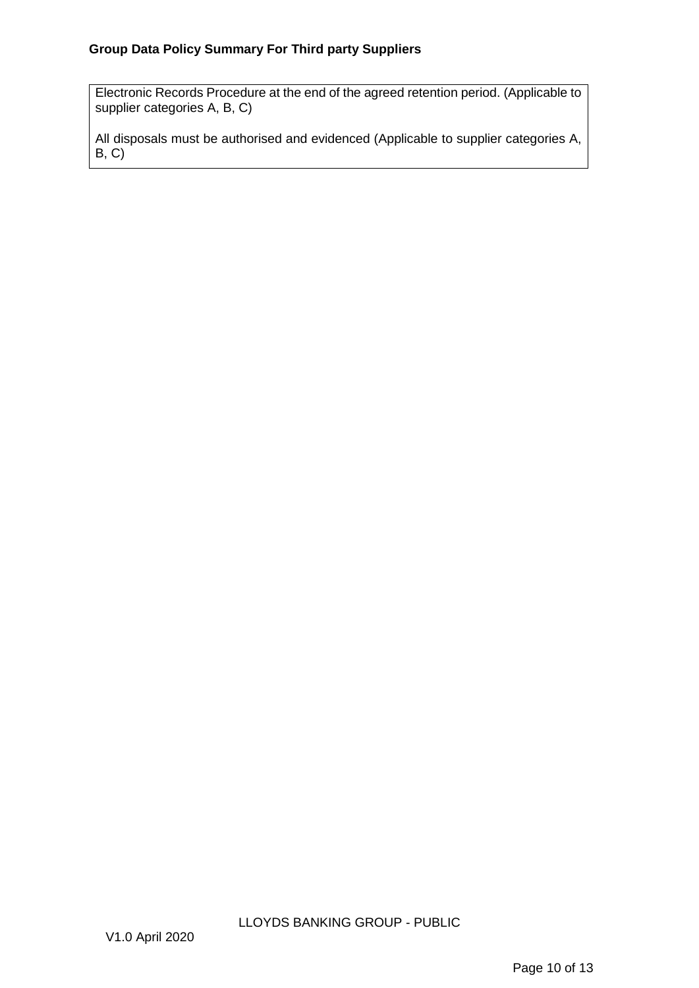## **Group Data Policy Summary For Third party Suppliers**

Electronic Records Procedure at the end of the agreed retention period. (Applicable to supplier categories A, B, C)

All disposals must be authorised and evidenced (Applicable to supplier categories A, B, C)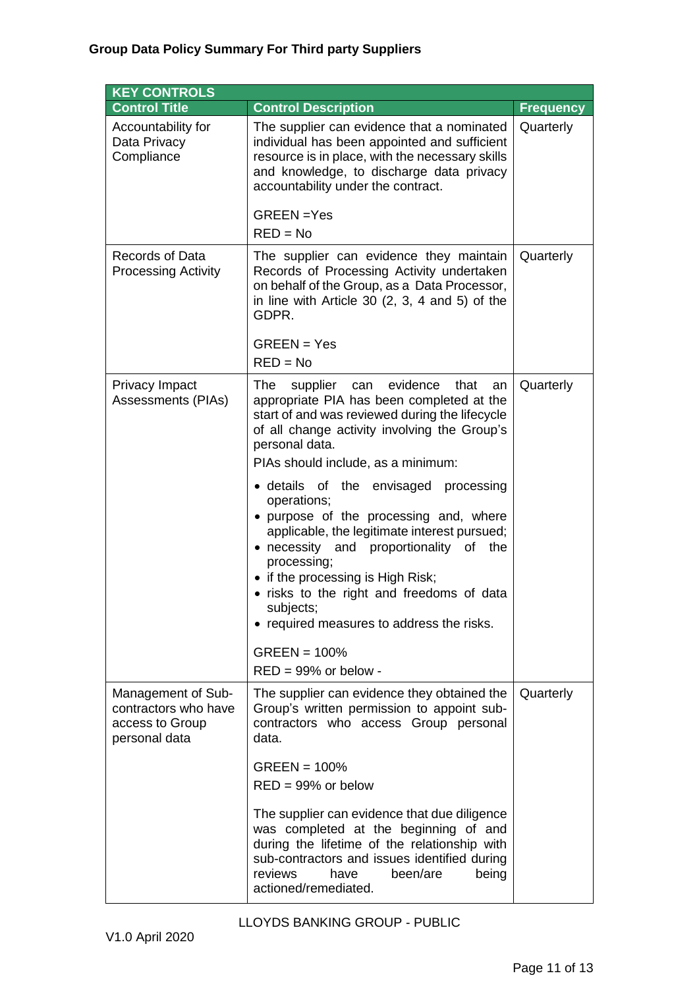# **Group Data Policy Summary For Third party Suppliers**

| <b>KEY CONTROLS</b>                                                            |                                                                                                                                                                                                                                                                                                                                                                                                                                                                                                                                                                                                                                                          |                  |
|--------------------------------------------------------------------------------|----------------------------------------------------------------------------------------------------------------------------------------------------------------------------------------------------------------------------------------------------------------------------------------------------------------------------------------------------------------------------------------------------------------------------------------------------------------------------------------------------------------------------------------------------------------------------------------------------------------------------------------------------------|------------------|
| <b>Control Title</b>                                                           | <b>Control Description</b>                                                                                                                                                                                                                                                                                                                                                                                                                                                                                                                                                                                                                               | <b>Frequency</b> |
| Accountability for<br>Data Privacy<br>Compliance                               | The supplier can evidence that a nominated<br>individual has been appointed and sufficient<br>resource is in place, with the necessary skills<br>and knowledge, to discharge data privacy<br>accountability under the contract.<br>GREEN =Yes                                                                                                                                                                                                                                                                                                                                                                                                            | Quarterly        |
|                                                                                | $RED = No$                                                                                                                                                                                                                                                                                                                                                                                                                                                                                                                                                                                                                                               |                  |
| Records of Data<br><b>Processing Activity</b>                                  | The supplier can evidence they maintain<br>Records of Processing Activity undertaken<br>on behalf of the Group, as a Data Processor,<br>in line with Article 30 $(2, 3, 4, 4)$ and 5) of the<br>GDPR.<br>$GREEN = Yes$<br>$RED = No$                                                                                                                                                                                                                                                                                                                                                                                                                     | Quarterly        |
|                                                                                |                                                                                                                                                                                                                                                                                                                                                                                                                                                                                                                                                                                                                                                          |                  |
| Privacy Impact<br>Assessments (PIAs)                                           | The<br>evidence<br>that<br>supplier can<br>an<br>appropriate PIA has been completed at the<br>start of and was reviewed during the lifecycle<br>of all change activity involving the Group's<br>personal data.<br>PIAs should include, as a minimum:<br>• details of the envisaged processing<br>operations;<br>• purpose of the processing and, where<br>applicable, the legitimate interest pursued;<br>• necessity and proportionality of the<br>processing;<br>• if the processing is High Risk;<br>• risks to the right and freedoms of data<br>subjects;<br>• required measures to address the risks.<br>$GREEN = 100%$<br>$RED = 99\%$ or below - | Quarterly        |
| Management of Sub-<br>contractors who have<br>access to Group<br>personal data | The supplier can evidence they obtained the<br>Group's written permission to appoint sub-<br>contractors who access Group personal<br>data.<br>$GREEN = 100%$<br>$RED = 99\%$ or below<br>The supplier can evidence that due diligence<br>was completed at the beginning of and<br>during the lifetime of the relationship with<br>sub-contractors and issues identified during<br>reviews<br>have<br>been/are<br>being<br>actioned/remediated.                                                                                                                                                                                                          | Quarterly        |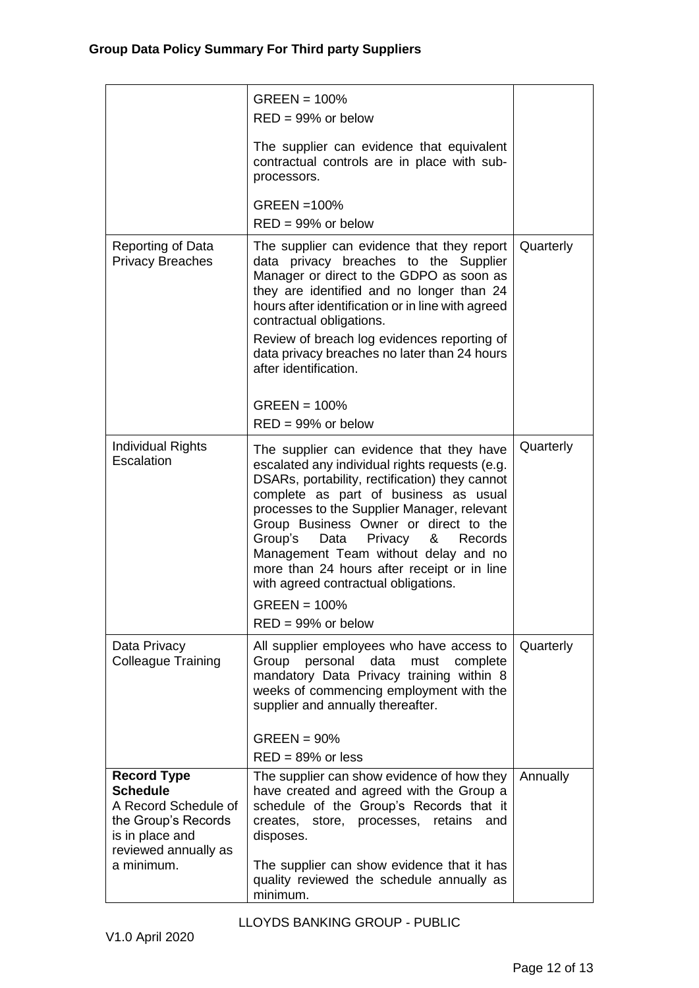|                                                                                                                                               | $GREEN = 100%$<br>$RED = 99\%$ or below<br>The supplier can evidence that equivalent<br>contractual controls are in place with sub-<br>processors.<br>GREEN = 100%<br>$RED = 99\%$ or below                                                                                                                                                                                                                                                                                                           |           |
|-----------------------------------------------------------------------------------------------------------------------------------------------|-------------------------------------------------------------------------------------------------------------------------------------------------------------------------------------------------------------------------------------------------------------------------------------------------------------------------------------------------------------------------------------------------------------------------------------------------------------------------------------------------------|-----------|
| Reporting of Data<br><b>Privacy Breaches</b>                                                                                                  | The supplier can evidence that they report<br>data privacy breaches to the Supplier<br>Manager or direct to the GDPO as soon as<br>they are identified and no longer than 24<br>hours after identification or in line with agreed<br>contractual obligations.<br>Review of breach log evidences reporting of<br>data privacy breaches no later than 24 hours<br>after identification.<br>$GREEN = 100%$<br>$RED = 99\%$ or below                                                                      | Quarterly |
| <b>Individual Rights</b><br>Escalation                                                                                                        | The supplier can evidence that they have<br>escalated any individual rights requests (e.g.<br>DSARs, portability, rectification) they cannot<br>complete as part of business as usual<br>processes to the Supplier Manager, relevant<br>Group Business Owner or direct to the<br>Group's<br>Privacy<br>Data<br>&<br>Records<br>Management Team without delay and no<br>more than 24 hours after receipt or in line<br>with agreed contractual obligations.<br>$GREEN = 100%$<br>$RED = 99\%$ or below | Quarterly |
| Data Privacy<br><b>Colleague Training</b>                                                                                                     | All supplier employees who have access to<br>data<br>Group personal<br>must<br>complete<br>mandatory Data Privacy training within 8<br>weeks of commencing employment with the<br>supplier and annually thereafter.<br>$GREEN = 90%$<br>$RED = 89\%$ or less                                                                                                                                                                                                                                          | Quarterly |
| <b>Record Type</b><br><b>Schedule</b><br>A Record Schedule of<br>the Group's Records<br>is in place and<br>reviewed annually as<br>a minimum. | The supplier can show evidence of how they<br>have created and agreed with the Group a<br>schedule of the Group's Records that it<br>creates, store, processes, retains<br>and<br>disposes.<br>The supplier can show evidence that it has<br>quality reviewed the schedule annually as                                                                                                                                                                                                                | Annually  |
|                                                                                                                                               | minimum.                                                                                                                                                                                                                                                                                                                                                                                                                                                                                              |           |